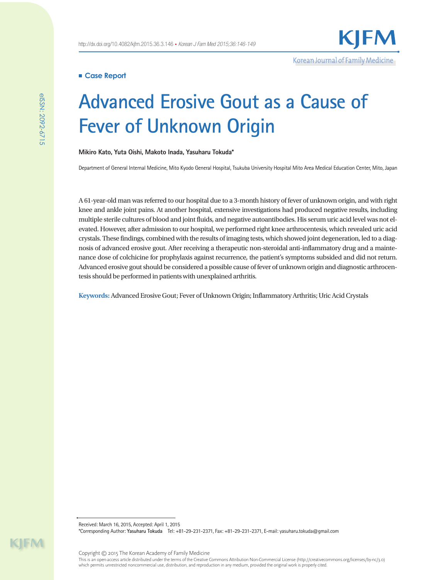Korean Journal of Family Medicine

## **Case Report**

# **Advanced Erosive Gout as a Cause of Fever of Unknown Origin**

#### **Mikiro Kato, Yuta Oishi, Makoto Inada, Yasuharu Tokuda\***

Department of General Internal Medicine, Mito Kyodo General Hospital, Tsukuba University Hospital Mito Area Medical Education Center, Mito, Japan

A 61-year-old man was referred to our hospital due to a 3-month history of fever of unknown origin, and with right knee and ankle joint pains. At another hospital, extensive investigations had produced negative results, including multiple sterile cultures of blood and joint fluids, and negative autoantibodies. His serum uric acid level was not elevated. However, after admission to our hospital, we performed right knee arthrocentesis, which revealed uric acid crystals. These findings, combined with the results of imaging tests, which showed joint degeneration, led to a diagnosis of advanced erosive gout. After receiving a therapeutic non-steroidal anti-inflammatory drug and a maintenance dose of colchicine for prophylaxis against recurrence, the patient's symptoms subsided and did not return. Advanced erosive gout should be considered a possible cause of fever of unknown origin and diagnostic arthrocentesis should be performed in patients with unexplained arthritis.

**Keywords:** Advanced Erosive Gout; Fever of Unknown Origin; Inflammatory Arthritis; Uric Acid Crystals

Received: March 16, 2015, Accepted: April 1, 2015 \*Corresponding Author: **Yasuharu Tokuda** Tel: +81-29-231-2371, Fax: +81-29-231-2371, E-mail: yasuharu.tokuda@gmail.com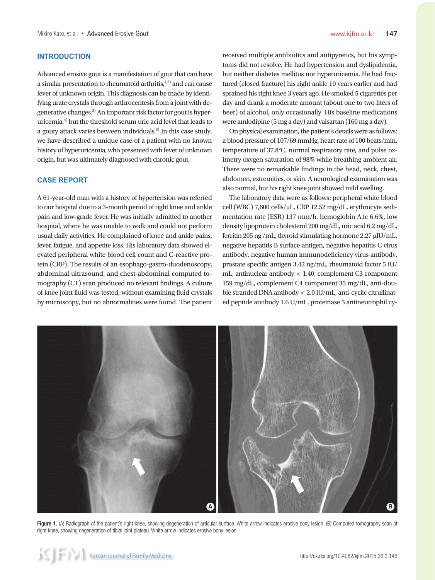## **INTRODUCTION**

Advanced erosive gout is a manifestation of gout that can have a similar presentation to rheumatoid arthritis, $1,2$ ) and can cause fever of unknown origin. This diagnosis can be made by identifying urate crystals through arthrocentesis from a joint with degenerative changes.<sup>3)</sup> An important risk factor for gout is hyperuricemia,<sup>4)</sup> but the threshold serum uric acid level that leads to a gouty attack varies between individuals.5) In this case study, we have described a unique case of a patient with no known history of hyperuricemia, who presented with fever of unknown origin, but was ultimately diagnosed with chronic gout.

## **CASE REPORT**

A 61-year-old man with a history of hypertension was referred to our hospital due to a 3-month period of right knee and ankle pain and low-grade fever. He was initially admitted to another hospital, where he was unable to walk and could not perform usual daily activities. He complained of knee and ankle pains, fever, fatigue, and appetite loss. His laboratory data showed elevated peripheral white blood cell count and C-reactive protein (CRP). The results of an esophago-gastro-duodenoscopy, abdominal ultrasound, and chest-abdominal computed tomography (CT) scan produced no relevant findings. A culture of knee joint fluid was tested, without examining fluid crystals by microscopy, but no abnormalities were found. The patient received multiple antibiotics and antipyretics, but his symptoms did not resolve. He had hypertension and dyslipidemia, but neither diabetes mellitus nor hyperuricemia. He had fractured (closed fracture) his right ankle 10 years earlier and had sprained his right knee 3 years ago. He smoked 5 cigarettes per day and drank a moderate amount (about one to two liters of beer) of alcohol, only occasionally. His baseline medications were amlodipine (5 mg a day) and valsartan (160 mg a day).

On physical examination, the patient's details were as follows: a blood pressure of 107/69 mmHg, heart rate of 100 beats/min, temperature of 37.8°C, normal respiratory rate, and pulse oximetry oxygen saturation of 98% while breathing ambient air. There were no remarkable findings in the head, neck, chest, abdomen, extremities, or skin. A neurological examination was also normal, but his right knee joint showed mild swelling.

The laboratory data were as follows: peripheral white blood cell (WBC) 7,600 cells/μL, CRP 12.52 mg/dL, erythrocyte sedimentation rate (ESR) 137 mm/h, hemoglobin A1c 6.6%, low density lipoprotein cholesterol 200 mg/dL, uric acid 6.2 mg/dL, ferritin 205 ng /mL, thyroid stimulating hormone 2.27 μIU/mL, negative hepatitis B surface antigen, negative hepatitis C virus antibody, negative human immunodeficiency virus antibody, prostate specific antigen 3.42 ng/mL, rheumatoid factor 5 IU/ mL, antinuclear antibody < 1:40, complement C3 component 159 mg/dL, complement C4 component 35 mg/dL, anti-double stranded DNA antibody < 2.0 IU/mL, anti-cyclic citrullinated peptide antibody 1.6 U/mL, proteinase 3 antineutrophil cy-



Figure 1. (A) Radiograph of the patient's right knee, showing degeneration of articular surface. White arrow indicates erosive bony lesion. (B) Computed tomography scan of right knee, showing degeneration of tibial joint plateau. White arrow indicates erosive bony lesion.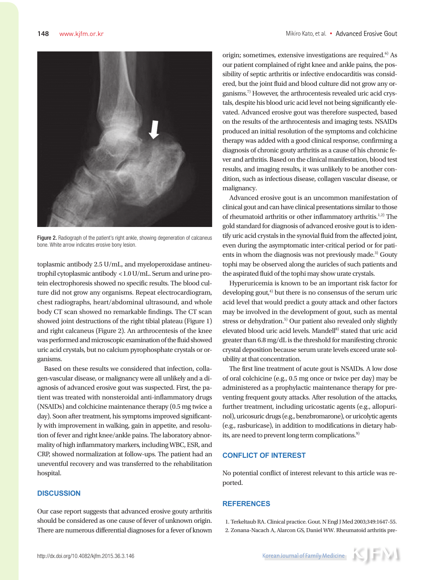

Figure 2. Radiograph of the patient's right ankle, showing degeneration of calcaneus bone. White arrow indicates erosive bony lesion.

toplasmic antibody 2.5 U/mL, and myeloperoxidase antineutrophil cytoplasmic antibody <1.0 U/mL. Serum and urine protein electrophoresis showed no specific results. The blood culture did not grow any organisms. Repeat electrocardiogram, chest radiographs, heart/abdominal ultrasound, and whole body CT scan showed no remarkable findings. The CT scan showed joint destructions of the right tibial plateau (Figure 1) and right calcaneus (Figure 2). An arthrocentesis of the knee was performed and microscopic examination of the fluid showed uric acid crystals, but no calcium pyrophosphate crystals or organisms.

Based on these results we considered that infection, collagen-vascular disease, or malignancy were all unlikely and a diagnosis of advanced erosive gout was suspected. First, the patient was treated with nonsteroidal anti-inflammatory drugs (NSAIDs) and colchicine maintenance therapy (0.5 mg twice a day). Soon after treatment, his symptoms improved significantly with improvement in walking, gain in appetite, and resolution of fever and right knee/ankle pains. The laboratory abnormality of high inflammatory markers, including WBC, ESR, and CRP, showed normalization at follow-ups. The patient had an uneventful recovery and was transferred to the rehabilitation hospital.

## **DISCUSSION**

Our case report suggests that advanced erosive gouty arthritis should be considered as one cause of fever of unknown origin. There are numerous differential diagnoses for a fever of known

origin; sometimes, extensive investigations are required. $6$ <sup>6</sup> As our patient complained of right knee and ankle pains, the possibility of septic arthritis or infective endocarditis was considered, but the joint fluid and blood culture did not grow any organisms.7) However, the arthrocentesis revealed uric acid crystals, despite his blood uric acid level not being significantly elevated. Advanced erosive gout was therefore suspected, based on the results of the arthrocentesis and imaging tests. NSAIDs produced an initial resolution of the symptoms and colchicine therapy was added with a good clinical response, confirming a diagnosis of chronic gouty arthritis as a cause of his chronic fever and arthritis. Based on the clinical manifestation, blood test results, and imaging results, it was unlikely to be another condition, such as infectious disease, collagen vascular disease, or malignancy.

Advanced erosive gout is an uncommon manifestation of clinical gout and can have clinical presentations similar to those of rheumatoid arthritis or other inflammatory arthritis.<sup>1,2)</sup> The gold standard for diagnosis of advanced erosive gout is to identify uric acid crystals in the synovial fluid from the affected joint, even during the asymptomatic inter-critical period or for patients in whom the diagnosis was not previously made.<sup>3)</sup> Gouty tophi may be observed along the auricles of such patients and the aspirated fluid of the tophi may show urate crystals.

Hyperuricemia is known to be an important risk factor for developing gout, $4$  but there is no consensus of the serum uric acid level that would predict a gouty attack and other factors may be involved in the development of gout, such as mental stress or dehydration.<sup>5)</sup> Our patient also revealed only slightly elevated blood uric acid levels. Mandell<sup>8)</sup> stated that uric acid greater than 6.8 mg/dL is the threshold for manifesting chronic crystal deposition because serum urate levels exceed urate solubility at that concentration.

The first line treatment of acute gout is NSAIDs. A low dose of oral colchicine (e.g., 0.5 mg once or twice per day) may be administered as a prophylactic maintenance therapy for preventing frequent gouty attacks. After resolution of the attacks, further treatment, including uricostatic agents (e.g., allopurinol), uricosuric drugs (e.g., benzbromarone), or uricolytic agents (e.g., rasburicase), in addition to modifications in dietary habits, are need to prevent long term complications.<sup>9)</sup>

#### **CONFLICT OF INTEREST**

No potential conflict of interest relevant to this article was reported.

#### **REFERENCES**

1. Terkeltaub RA. Clinical practice. Gout. N Engl J Med 2003;349:1647-55. 2. Zonana-Nacach A, Alarcon GS, Daniel WW. Rheumatoid arthritis pre